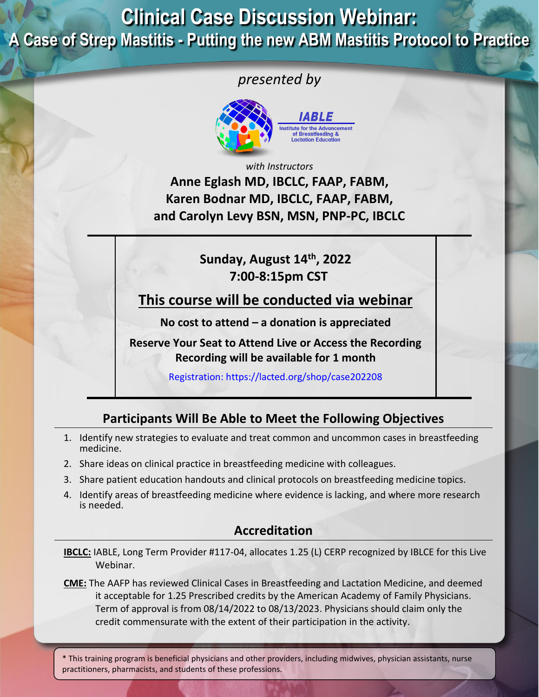## **Clinical Case Discussion Webinar: A Case of Strep Mastitis - Putting the new ABM Mastitis Protocol to Practice**

## *presented by*



*with Instructors*

**Anne Eglash MD, IBCLC, FAAP, FABM, Karen Bodnar MD, IBCLC, FAAP, FABM, and Carolyn Levy BSN, MSN, PNP-PC, IBCLC**

### **Sunday, August 14th, 2022 7:00-8:15pm CST**

**This course will be conducted via webinar**

**No cost to attend – a donation is appreciated**

**Reserve Your Seat to Attend Live or Access the Recording Recording will be available for 1 month**

Registration: <https://lacted.org/shop/case202208>

## **Participants Will Be Able to Meet the Following Objectives**

- 1. Identify new strategies to evaluate and treat common and uncommon cases in breastfeeding medicine.
- 2. Share ideas on clinical practice in breastfeeding medicine with colleagues.
- 3. Share patient education handouts and clinical protocols on breastfeeding medicine topics.
- 4. Identify areas of breastfeeding medicine where evidence is lacking, and where more research is needed.

#### **Accreditation**

**IBCLC:** IABLE, Long Term Provider #117-04, allocates 1.25 (L) CERP recognized by IBLCE for this Live Webinar.

**CME:** The AAFP has reviewed Clinical Cases in Breastfeeding and Lactation Medicine, and deemed it acceptable for 1.25 Prescribed credits by the American Academy of Family Physicians. Term of approval is from 08/14/2022 to 08/13/2023. Physicians should claim only the credit commensurate with the extent of their participation in the activity.

\* This training program is beneficial physicians and other providers, including midwives, physician assistants, nurse practitioners, pharmacists, and students of these professions.